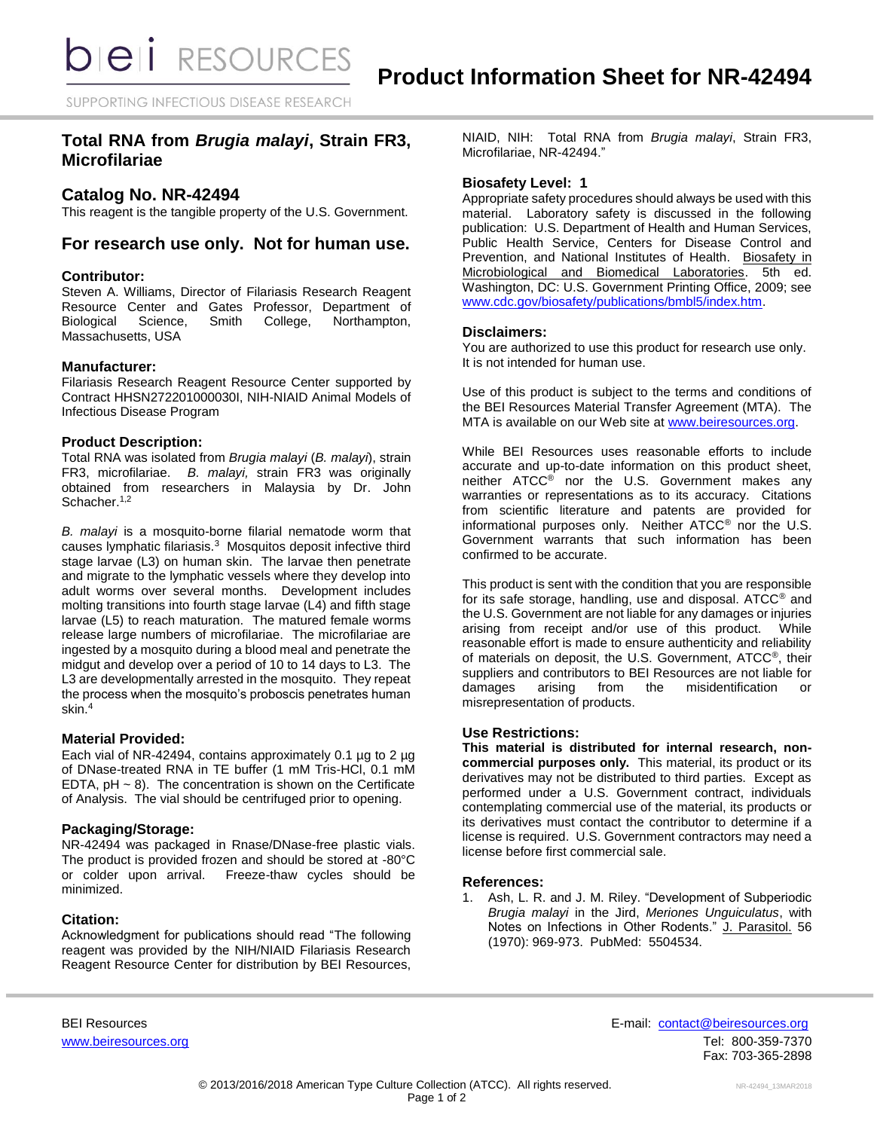SUPPORTING INFECTIOUS DISEASE RESEARCH

# **Total RNA from** *Brugia malayi***, Strain FR3, Microfilariae**

## **Catalog No. NR-42494**

This reagent is the tangible property of the U.S. Government.

## **For research use only. Not for human use.**

#### **Contributor:**

Steven A. Williams, Director of Filariasis Research Reagent Resource Center and Gates Professor, Department of Biological Science, Smith College, Northampton, Biological Science, Smith College, Northampton, Massachusetts, USA

#### **Manufacturer:**

Filariasis Research Reagent Resource Center supported by Contract HHSN272201000030I, NIH-NIAID Animal Models of Infectious Disease Program

#### **Product Description:**

Total RNA was isolated from *Brugia malayi* (*B. malayi*), strain FR3, microfilariae. *B. malayi,* strain FR3 was originally obtained from researchers in Malaysia by Dr. John Schacher.<sup>1,2</sup>

*B. malayi* is a mosquito-borne filarial nematode worm that causes lymphatic filariasis.<sup>3</sup> Mosquitos deposit infective third stage larvae (L3) on human skin. The larvae then penetrate and migrate to the lymphatic vessels where they develop into adult worms over several months. Development includes molting transitions into fourth stage larvae (L4) and fifth stage larvae (L5) to reach maturation. The matured female worms release large numbers of microfilariae. The microfilariae are ingested by a mosquito during a blood meal and penetrate the midgut and develop over a period of 10 to 14 days to L3. The L3 are developmentally arrested in the mosquito. They repeat the process when the mosquito's proboscis penetrates human skin.<sup>4</sup>

## **Material Provided:**

Each vial of NR-42494, contains approximately 0.1 µg to 2 µg of DNase-treated RNA in TE buffer (1 mM Tris-HCl, 0.1 mM EDTA,  $pH \sim 8$ ). The concentration is shown on the Certificate of Analysis. The vial should be centrifuged prior to opening.

#### **Packaging/Storage:**

NR-42494 was packaged in Rnase/DNase-free plastic vials. The product is provided frozen and should be stored at -80°C or colder upon arrival. Freeze-thaw cycles should be minimized.

### **Citation:**

Acknowledgment for publications should read "The following reagent was provided by the NIH/NIAID Filariasis Research Reagent Resource Center for distribution by BEI Resources,

NIAID, NIH: Total RNA from *Brugia malayi*, Strain FR3, Microfilariae, NR-42494."

#### **Biosafety Level: 1**

Appropriate safety procedures should always be used with this material. Laboratory safety is discussed in the following publication: U.S. Department of Health and Human Services, Public Health Service, Centers for Disease Control and Prevention, and National Institutes of Health. Biosafety in Microbiological and Biomedical Laboratories. 5th ed. Washington, DC: U.S. Government Printing Office, 2009; see [www.cdc.gov/biosafety/publications/bmbl5/index.htm.](http://www.cdc.gov/biosafety/publications/bmbl5/index.htm)

#### **Disclaimers:**

You are authorized to use this product for research use only. It is not intended for human use.

Use of this product is subject to the terms and conditions of the BEI Resources Material Transfer Agreement (MTA). The MTA is available on our Web site at [www.beiresources.org.](http://www.beiresources.org/)

While BEI Resources uses reasonable efforts to include accurate and up-to-date information on this product sheet, neither ATCC<sup>®</sup> nor the U.S. Government makes any warranties or representations as to its accuracy. Citations from scientific literature and patents are provided for informational purposes only. Neither ATCC® nor the U.S. Government warrants that such information has been confirmed to be accurate.

This product is sent with the condition that you are responsible for its safe storage, handling, use and disposal. ATCC® and the U.S. Government are not liable for any damages or injuries arising from receipt and/or use of this product. While reasonable effort is made to ensure authenticity and reliability of materials on deposit, the U.S. Government, ATCC®, their suppliers and contributors to BEI Resources are not liable for damages arising from the misidentification or misrepresentation of products.

### **Use Restrictions:**

**This material is distributed for internal research, noncommercial purposes only.** This material, its product or its derivatives may not be distributed to third parties. Except as performed under a U.S. Government contract, individuals contemplating commercial use of the material, its products or its derivatives must contact the contributor to determine if a license is required. U.S. Government contractors may need a license before first commercial sale.

#### **References:**

1. Ash, L. R. and J. M. Riley. "Development of Subperiodic *Brugia malayi* in the Jird, *Meriones Unguiculatus*, with Notes on Infections in Other Rodents." J. Parasitol. 56 (1970): 969-973. PubMed: 5504534.

BEI Resources E-mail: [contact@beiresources.org](mailto:contact@beiresources.org) [www.beiresources.org](http://www.beiresources.org/) **Tel: 800-359-7370** Fax: 703-365-2898